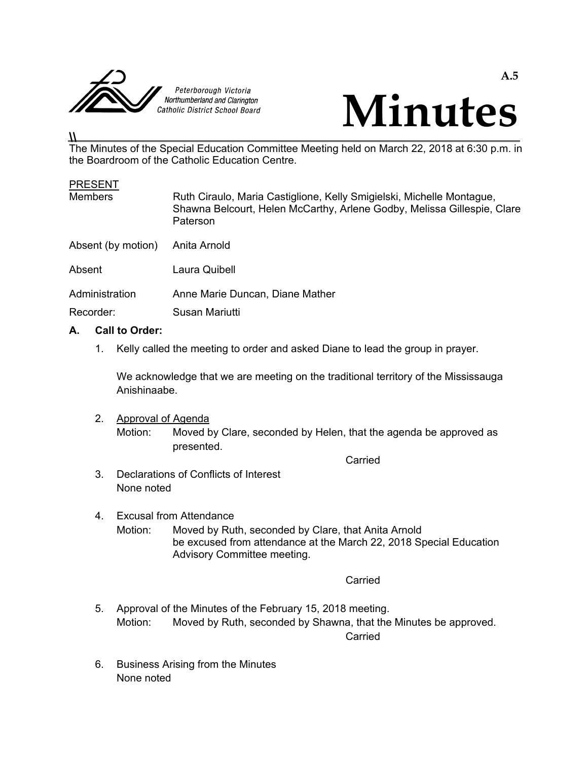



#### **\\**

The Minutes of the Special Education Committee Meeting held on March 22, 2018 at 6:30 p.m. in the Boardroom of the Catholic Education Centre.

#### **PRESENT**

| Paterson                                                                         |  |
|----------------------------------------------------------------------------------|--|
| Absent (by motion)<br>Anita Arnold                                               |  |
| Absent<br>Laura Quibell                                                          |  |
| Administration<br>Anne Marie Duncan, Diane Mather<br>Recorder:<br>Susan Mariutti |  |

# **A. Call to Order:**

1. Kelly called the meeting to order and asked Diane to lead the group in prayer.

 We acknowledge that we are meeting on the traditional territory of the Mississauga Anishinaabe.

2. Approval of Agenda

 Motion: Moved by Clare, seconded by Helen, that the agenda be approved as presented.

**Carried Carried Carried Carried Carried Carried Carried Carried Carried Carried Carried Carried Carried Carried Carried Carried Carried Carried Carried Carried Carried Carried Carried Carried Carried Carried Carried Carri** 

- 3. Declarations of Conflicts of Interest None noted
- 4. Excusal from Attendance Motion: Moved by Ruth, seconded by Clare, that Anita Arnold be excused from attendance at the March 22, 2018 Special Education Advisory Committee meeting.

**Carried Carried Carried Carried Carried Carried Carried Carried Carried Carried Carried Carried Carried Carried Carried Carried Carried Carried Carried Carried Carried Carried Carried Carried Carried Carried Carried Carri** 

- 5. Approval of the Minutes of the February 15, 2018 meeting. Motion: Moved by Ruth, seconded by Shawna, that the Minutes be approved. **Carried Carried Carried Carried Carried Carried Carried Carried Carried Carried Carried Carried Carried Carried Carried Carried Carried Carried Carried Carried Carried Carried Carried Carried Carried Carried Carried Carri** 
	- 6. Business Arising from the Minutes None noted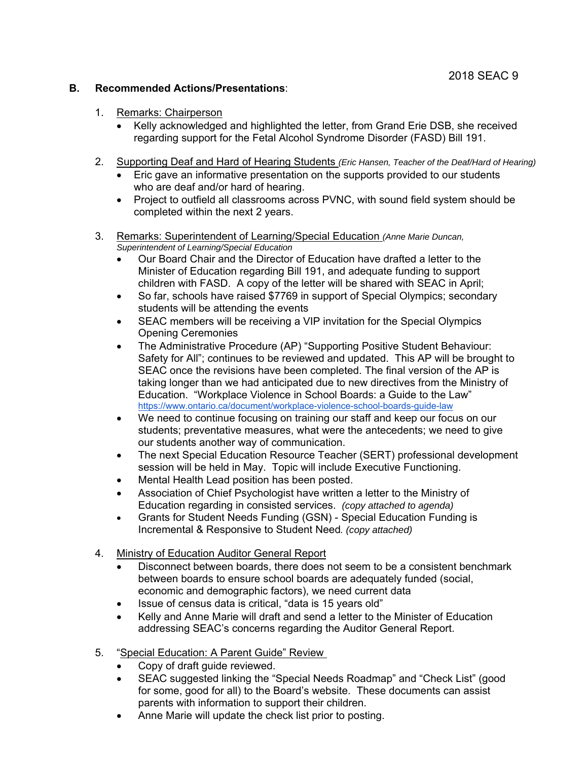## **B. Recommended Actions/Presentations**:

- 1. Remarks: Chairperson
	- Kelly acknowledged and highlighted the letter, from Grand Erie DSB, she received regarding support for the Fetal Alcohol Syndrome Disorder (FASD) Bill 191.
- 2. Supporting Deaf and Hard of Hearing Students *(Eric Hansen, Teacher of the Deaf/Hard of Hearing)* 
	- Eric gave an informative presentation on the supports provided to our students who are deaf and/or hard of hearing.
	- Project to outfield all classrooms across PVNC, with sound field system should be completed within the next 2 years.
- 3. Remarks: Superintendent of Learning/Special Education *(Anne Marie Duncan, Superintendent of Learning/Special Education*
	- Our Board Chair and the Director of Education have drafted a letter to the Minister of Education regarding Bill 191, and adequate funding to support children with FASD. A copy of the letter will be shared with SEAC in April;
	- So far, schools have raised \$7769 in support of Special Olympics; secondary students will be attending the events
	- SEAC members will be receiving a VIP invitation for the Special Olympics Opening Ceremonies
	- The Administrative Procedure (AP) "Supporting Positive Student Behaviour: Safety for All"; continues to be reviewed and updated. This AP will be brought to SEAC once the revisions have been completed. The final version of the AP is taking longer than we had anticipated due to new directives from the Ministry of Education. "Workplace Violence in School Boards: a Guide to the Law" https://www.ontario.ca/document/workplace-violence-school-boards-guide-law
	- We need to continue focusing on training our staff and keep our focus on our students; preventative measures, what were the antecedents; we need to give our students another way of communication.
	- The next Special Education Resource Teacher (SERT) professional development session will be held in May. Topic will include Executive Functioning.
	- Mental Health Lead position has been posted.
	- Association of Chief Psychologist have written a letter to the Ministry of Education regarding in consisted services. *(copy attached to agenda)*
	- Grants for Student Needs Funding (GSN) Special Education Funding is Incremental & Responsive to Student Need*. (copy attached)*
- 4. Ministry of Education Auditor General Report
	- Disconnect between boards, there does not seem to be a consistent benchmark between boards to ensure school boards are adequately funded (social, economic and demographic factors), we need current data
	- Issue of census data is critical, "data is 15 years old"
	- Kelly and Anne Marie will draft and send a letter to the Minister of Education addressing SEAC's concerns regarding the Auditor General Report.
- 5. "Special Education: A Parent Guide" Review
	- Copy of draft guide reviewed.
	- SEAC suggested linking the "Special Needs Roadmap" and "Check List" (good for some, good for all) to the Board's website. These documents can assist parents with information to support their children.
	- Anne Marie will update the check list prior to posting.